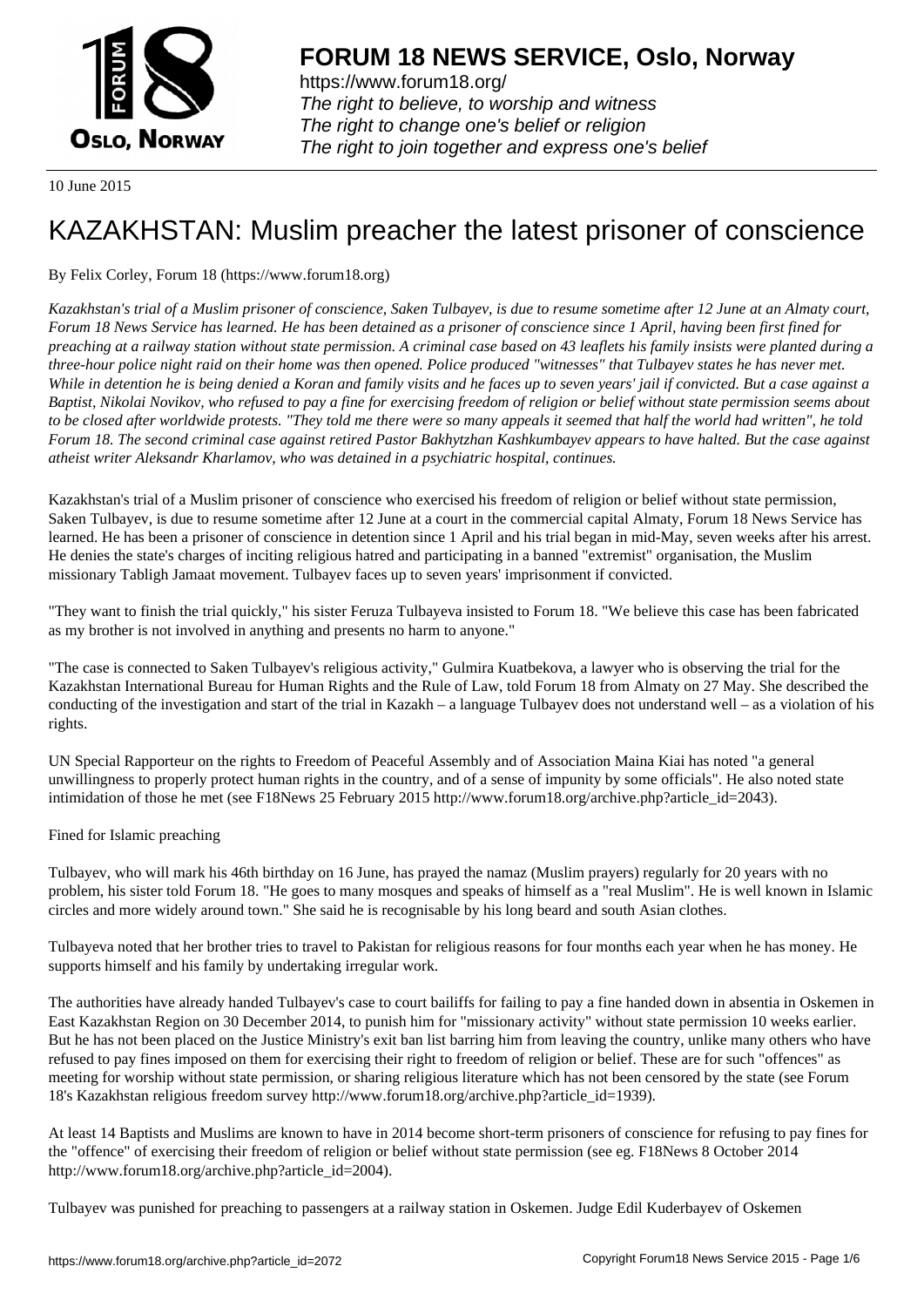

https://www.forum18.org/ The right to believe, to worship and witness The right to change one's belief or religion [The right to join together a](https://www.forum18.org/)nd express one's belief

10 June 2015

# [KAZAKHSTAN:](https://www.forum18.org) Muslim preacher the latest prisoner of conscience

# By Felix Corley, Forum 18 (https://www.forum18.org)

*Kazakhstan's trial of a Muslim prisoner of conscience, Saken Tulbayev, is due to resume sometime after 12 June at an Almaty court, Forum 18 News Service has learned. He has been detained as a prisoner of conscience since 1 April, having been first fined for preaching at a railway station without state permission. A criminal case based on 43 leaflets his family insists were planted during a three-hour police night raid on their home was then opened. Police produced "witnesses" that Tulbayev states he has never met. While in detention he is being denied a Koran and family visits and he faces up to seven years' jail if convicted. But a case against a Baptist, Nikolai Novikov, who refused to pay a fine for exercising freedom of religion or belief without state permission seems about to be closed after worldwide protests. "They told me there were so many appeals it seemed that half the world had written", he told Forum 18. The second criminal case against retired Pastor Bakhytzhan Kashkumbayev appears to have halted. But the case against atheist writer Aleksandr Kharlamov, who was detained in a psychiatric hospital, continues.*

Kazakhstan's trial of a Muslim prisoner of conscience who exercised his freedom of religion or belief without state permission, Saken Tulbayev, is due to resume sometime after 12 June at a court in the commercial capital Almaty, Forum 18 News Service has learned. He has been a prisoner of conscience in detention since 1 April and his trial began in mid-May, seven weeks after his arrest. He denies the state's charges of inciting religious hatred and participating in a banned "extremist" organisation, the Muslim missionary Tabligh Jamaat movement. Tulbayev faces up to seven years' imprisonment if convicted.

"They want to finish the trial quickly," his sister Feruza Tulbayeva insisted to Forum 18. "We believe this case has been fabricated as my brother is not involved in anything and presents no harm to anyone."

"The case is connected to Saken Tulbayev's religious activity," Gulmira Kuatbekova, a lawyer who is observing the trial for the Kazakhstan International Bureau for Human Rights and the Rule of Law, told Forum 18 from Almaty on 27 May. She described the conducting of the investigation and start of the trial in Kazakh – a language Tulbayev does not understand well – as a violation of his rights.

UN Special Rapporteur on the rights to Freedom of Peaceful Assembly and of Association Maina Kiai has noted "a general unwillingness to properly protect human rights in the country, and of a sense of impunity by some officials". He also noted state intimidation of those he met (see F18News 25 February 2015 http://www.forum18.org/archive.php?article\_id=2043).

## Fined for Islamic preaching

Tulbayev, who will mark his 46th birthday on 16 June, has prayed the namaz (Muslim prayers) regularly for 20 years with no problem, his sister told Forum 18. "He goes to many mosques and speaks of himself as a "real Muslim". He is well known in Islamic circles and more widely around town." She said he is recognisable by his long beard and south Asian clothes.

Tulbayeva noted that her brother tries to travel to Pakistan for religious reasons for four months each year when he has money. He supports himself and his family by undertaking irregular work.

The authorities have already handed Tulbayev's case to court bailiffs for failing to pay a fine handed down in absentia in Oskemen in East Kazakhstan Region on 30 December 2014, to punish him for "missionary activity" without state permission 10 weeks earlier. But he has not been placed on the Justice Ministry's exit ban list barring him from leaving the country, unlike many others who have refused to pay fines imposed on them for exercising their right to freedom of religion or belief. These are for such "offences" as meeting for worship without state permission, or sharing religious literature which has not been censored by the state (see Forum 18's Kazakhstan religious freedom survey http://www.forum18.org/archive.php?article\_id=1939).

At least 14 Baptists and Muslims are known to have in 2014 become short-term prisoners of conscience for refusing to pay fines for the "offence" of exercising their freedom of religion or belief without state permission (see eg. F18News 8 October 2014 http://www.forum18.org/archive.php?article\_id=2004).

Tulbayev was punished for preaching to passengers at a railway station in Oskemen. Judge Edil Kuderbayev of Oskemen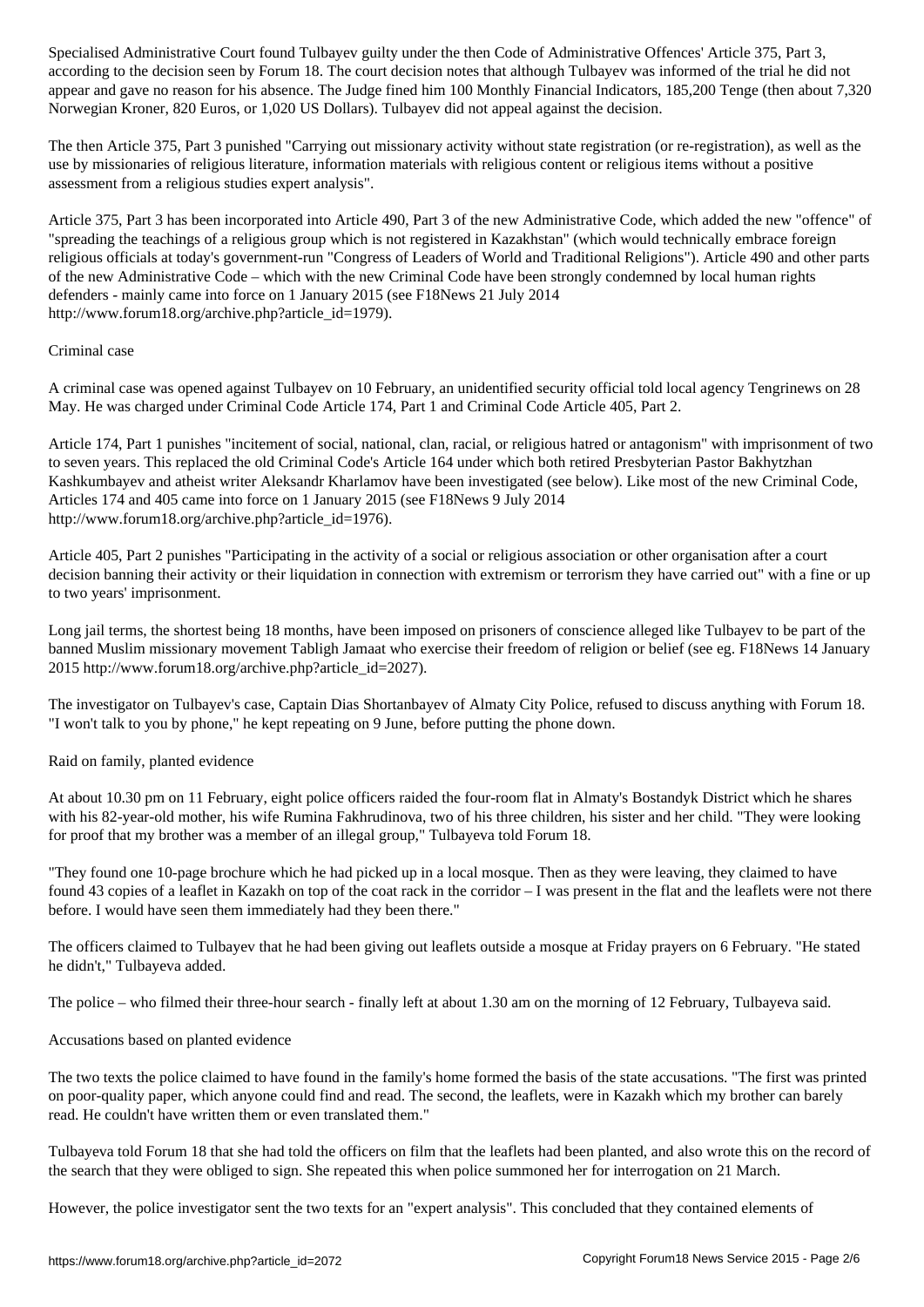according to the decision seen by Forum 18. The court decision notes that although Tulbayev was informed of the trial he did not appear and gave no reason for his absence. The Judge fined him 100 Monthly Financial Indicators, 185,200 Tenge (then about 7,320 Norwegian Kroner, 820 Euros, or 1,020 US Dollars). Tulbayev did not appeal against the decision.

The then Article 375, Part 3 punished "Carrying out missionary activity without state registration (or re-registration), as well as the use by missionaries of religious literature, information materials with religious content or religious items without a positive assessment from a religious studies expert analysis".

Article 375, Part 3 has been incorporated into Article 490, Part 3 of the new Administrative Code, which added the new "offence" of "spreading the teachings of a religious group which is not registered in Kazakhstan" (which would technically embrace foreign religious officials at today's government-run "Congress of Leaders of World and Traditional Religions"). Article 490 and other parts of the new Administrative Code – which with the new Criminal Code have been strongly condemned by local human rights defenders - mainly came into force on 1 January 2015 (see F18News 21 July 2014 http://www.forum18.org/archive.php?article\_id=1979).

### Criminal case

A criminal case was opened against Tulbayev on 10 February, an unidentified security official told local agency Tengrinews on 28 May. He was charged under Criminal Code Article 174, Part 1 and Criminal Code Article 405, Part 2.

Article 174, Part 1 punishes "incitement of social, national, clan, racial, or religious hatred or antagonism" with imprisonment of two to seven years. This replaced the old Criminal Code's Article 164 under which both retired Presbyterian Pastor Bakhytzhan Kashkumbayev and atheist writer Aleksandr Kharlamov have been investigated (see below). Like most of the new Criminal Code, Articles 174 and 405 came into force on 1 January 2015 (see F18News 9 July 2014 http://www.forum18.org/archive.php?article\_id=1976).

Article 405, Part 2 punishes "Participating in the activity of a social or religious association or other organisation after a court decision banning their activity or their liquidation in connection with extremism or terrorism they have carried out" with a fine or up to two years' imprisonment.

Long jail terms, the shortest being 18 months, have been imposed on prisoners of conscience alleged like Tulbayev to be part of the banned Muslim missionary movement Tabligh Jamaat who exercise their freedom of religion or belief (see eg. F18News 14 January 2015 http://www.forum18.org/archive.php?article\_id=2027).

The investigator on Tulbayev's case, Captain Dias Shortanbayev of Almaty City Police, refused to discuss anything with Forum 18. "I won't talk to you by phone," he kept repeating on 9 June, before putting the phone down.

#### Raid on family, planted evidence

At about 10.30 pm on 11 February, eight police officers raided the four-room flat in Almaty's Bostandyk District which he shares with his 82-year-old mother, his wife Rumina Fakhrudinova, two of his three children, his sister and her child. "They were looking for proof that my brother was a member of an illegal group," Tulbayeva told Forum 18.

"They found one 10-page brochure which he had picked up in a local mosque. Then as they were leaving, they claimed to have found 43 copies of a leaflet in Kazakh on top of the coat rack in the corridor – I was present in the flat and the leaflets were not there before. I would have seen them immediately had they been there."

The officers claimed to Tulbayev that he had been giving out leaflets outside a mosque at Friday prayers on 6 February. "He stated he didn't," Tulbayeva added.

The police – who filmed their three-hour search - finally left at about 1.30 am on the morning of 12 February, Tulbayeva said.

#### Accusations based on planted evidence

The two texts the police claimed to have found in the family's home formed the basis of the state accusations. "The first was printed on poor-quality paper, which anyone could find and read. The second, the leaflets, were in Kazakh which my brother can barely read. He couldn't have written them or even translated them."

Tulbayeva told Forum 18 that she had told the officers on film that the leaflets had been planted, and also wrote this on the record of the search that they were obliged to sign. She repeated this when police summoned her for interrogation on 21 March.

However, the police investigator sent the two texts for an "expert analysis". This concluded that they contained elements of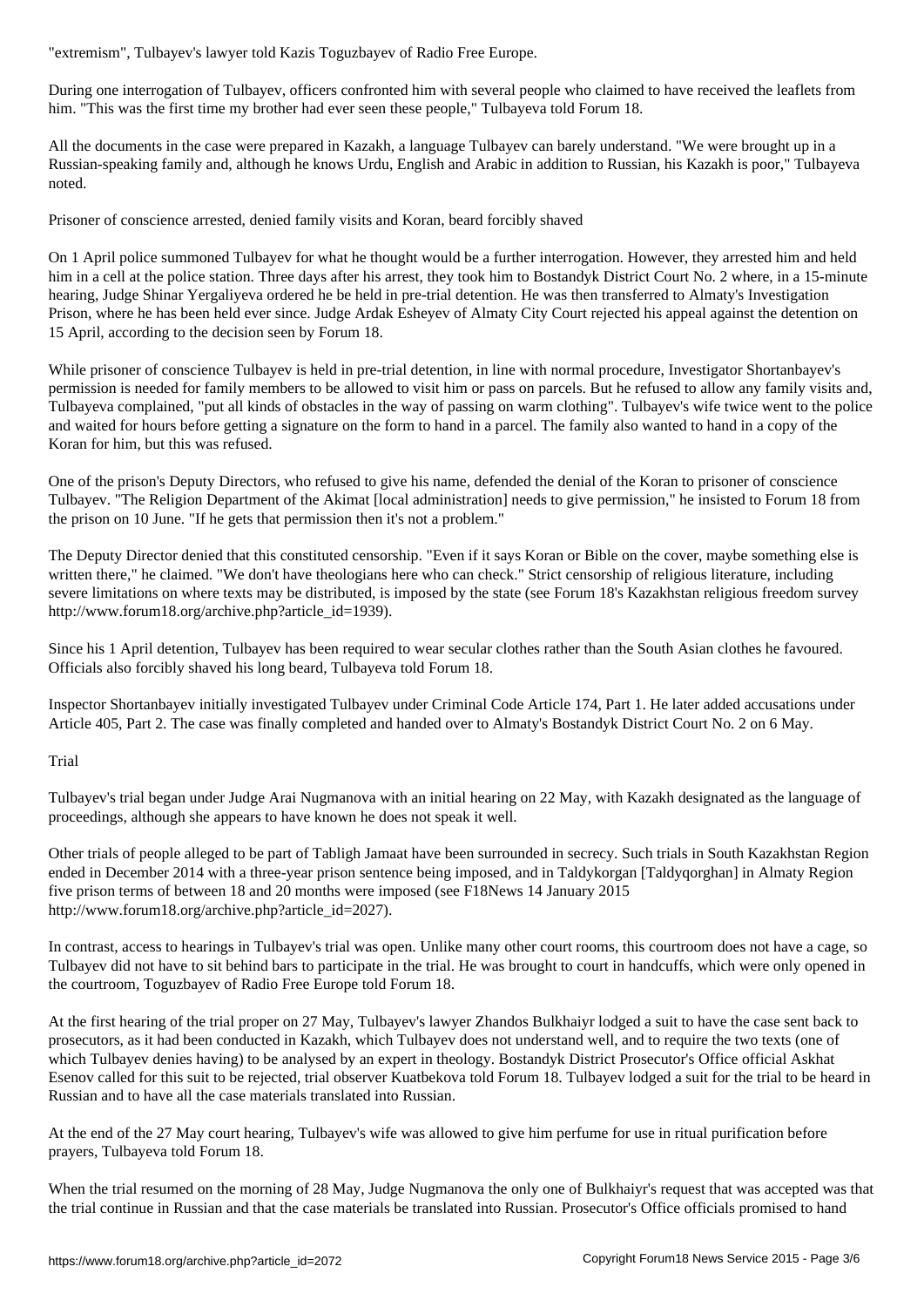During one interrogation of Tulbayev, officers confronted him with several people who claimed to have received the leaflets from him. "This was the first time my brother had ever seen these people," Tulbayeva told Forum 18.

All the documents in the case were prepared in Kazakh, a language Tulbayev can barely understand. "We were brought up in a Russian-speaking family and, although he knows Urdu, English and Arabic in addition to Russian, his Kazakh is poor," Tulbayeva noted.

Prisoner of conscience arrested, denied family visits and Koran, beard forcibly shaved

On 1 April police summoned Tulbayev for what he thought would be a further interrogation. However, they arrested him and held him in a cell at the police station. Three days after his arrest, they took him to Bostandyk District Court No. 2 where, in a 15-minute hearing, Judge Shinar Yergaliyeva ordered he be held in pre-trial detention. He was then transferred to Almaty's Investigation Prison, where he has been held ever since. Judge Ardak Esheyev of Almaty City Court rejected his appeal against the detention on 15 April, according to the decision seen by Forum 18.

While prisoner of conscience Tulbayev is held in pre-trial detention, in line with normal procedure, Investigator Shortanbayev's permission is needed for family members to be allowed to visit him or pass on parcels. But he refused to allow any family visits and, Tulbayeva complained, "put all kinds of obstacles in the way of passing on warm clothing". Tulbayev's wife twice went to the police and waited for hours before getting a signature on the form to hand in a parcel. The family also wanted to hand in a copy of the Koran for him, but this was refused.

One of the prison's Deputy Directors, who refused to give his name, defended the denial of the Koran to prisoner of conscience Tulbayev. "The Religion Department of the Akimat [local administration] needs to give permission," he insisted to Forum 18 from the prison on 10 June. "If he gets that permission then it's not a problem."

The Deputy Director denied that this constituted censorship. "Even if it says Koran or Bible on the cover, maybe something else is written there," he claimed. "We don't have theologians here who can check." Strict censorship of religious literature, including severe limitations on where texts may be distributed, is imposed by the state (see Forum 18's Kazakhstan religious freedom survey http://www.forum18.org/archive.php?article\_id=1939).

Since his 1 April detention, Tulbayev has been required to wear secular clothes rather than the South Asian clothes he favoured. Officials also forcibly shaved his long beard, Tulbayeva told Forum 18.

Inspector Shortanbayev initially investigated Tulbayev under Criminal Code Article 174, Part 1. He later added accusations under Article 405, Part 2. The case was finally completed and handed over to Almaty's Bostandyk District Court No. 2 on 6 May.

Trial

Tulbayev's trial began under Judge Arai Nugmanova with an initial hearing on 22 May, with Kazakh designated as the language of proceedings, although she appears to have known he does not speak it well.

Other trials of people alleged to be part of Tabligh Jamaat have been surrounded in secrecy. Such trials in South Kazakhstan Region ended in December 2014 with a three-year prison sentence being imposed, and in Taldykorgan [Taldyqorghan] in Almaty Region five prison terms of between 18 and 20 months were imposed (see F18News 14 January 2015 http://www.forum18.org/archive.php?article\_id=2027).

In contrast, access to hearings in Tulbayev's trial was open. Unlike many other court rooms, this courtroom does not have a cage, so Tulbayev did not have to sit behind bars to participate in the trial. He was brought to court in handcuffs, which were only opened in the courtroom, Toguzbayev of Radio Free Europe told Forum 18.

At the first hearing of the trial proper on 27 May, Tulbayev's lawyer Zhandos Bulkhaiyr lodged a suit to have the case sent back to prosecutors, as it had been conducted in Kazakh, which Tulbayev does not understand well, and to require the two texts (one of which Tulbayev denies having) to be analysed by an expert in theology. Bostandyk District Prosecutor's Office official Askhat Esenov called for this suit to be rejected, trial observer Kuatbekova told Forum 18. Tulbayev lodged a suit for the trial to be heard in Russian and to have all the case materials translated into Russian.

At the end of the 27 May court hearing, Tulbayev's wife was allowed to give him perfume for use in ritual purification before prayers, Tulbayeva told Forum 18.

When the trial resumed on the morning of 28 May, Judge Nugmanova the only one of Bulkhaiyr's request that was accepted was that the trial continue in Russian and that the case materials be translated into Russian. Prosecutor's Office officials promised to hand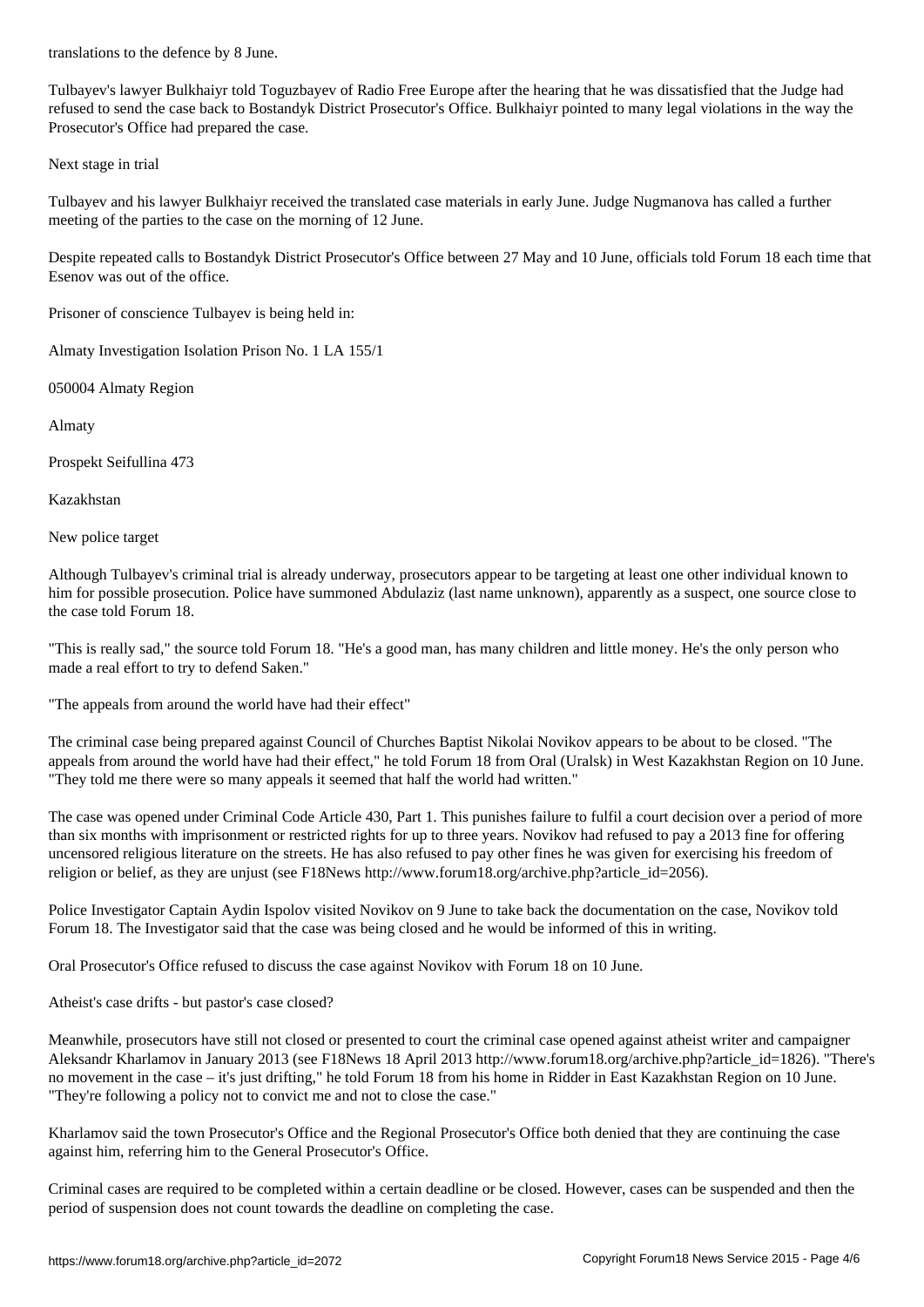Tulbayev's lawyer Bulkhaiyr told Toguzbayev of Radio Free Europe after the hearing that he was dissatisfied that the Judge had refused to send the case back to Bostandyk District Prosecutor's Office. Bulkhaiyr pointed to many legal violations in the way the Prosecutor's Office had prepared the case.

Next stage in trial

Tulbayev and his lawyer Bulkhaiyr received the translated case materials in early June. Judge Nugmanova has called a further meeting of the parties to the case on the morning of 12 June.

Despite repeated calls to Bostandyk District Prosecutor's Office between 27 May and 10 June, officials told Forum 18 each time that Esenov was out of the office.

Prisoner of conscience Tulbayev is being held in:

Almaty Investigation Isolation Prison No. 1 LA 155/1

050004 Almaty Region

Almaty

Prospekt Seifullina 473

Kazakhstan

New police target

Although Tulbayev's criminal trial is already underway, prosecutors appear to be targeting at least one other individual known to him for possible prosecution. Police have summoned Abdulaziz (last name unknown), apparently as a suspect, one source close to the case told Forum 18.

"This is really sad," the source told Forum 18. "He's a good man, has many children and little money. He's the only person who made a real effort to try to defend Saken."

"The appeals from around the world have had their effect"

The criminal case being prepared against Council of Churches Baptist Nikolai Novikov appears to be about to be closed. "The appeals from around the world have had their effect," he told Forum 18 from Oral (Uralsk) in West Kazakhstan Region on 10 June. "They told me there were so many appeals it seemed that half the world had written."

The case was opened under Criminal Code Article 430, Part 1. This punishes failure to fulfil a court decision over a period of more than six months with imprisonment or restricted rights for up to three years. Novikov had refused to pay a 2013 fine for offering uncensored religious literature on the streets. He has also refused to pay other fines he was given for exercising his freedom of religion or belief, as they are unjust (see F18News http://www.forum18.org/archive.php?article\_id=2056).

Police Investigator Captain Aydin Ispolov visited Novikov on 9 June to take back the documentation on the case, Novikov told Forum 18. The Investigator said that the case was being closed and he would be informed of this in writing.

Oral Prosecutor's Office refused to discuss the case against Novikov with Forum 18 on 10 June.

Atheist's case drifts - but pastor's case closed?

Meanwhile, prosecutors have still not closed or presented to court the criminal case opened against atheist writer and campaigner Aleksandr Kharlamov in January 2013 (see F18News 18 April 2013 http://www.forum18.org/archive.php?article\_id=1826). "There's no movement in the case – it's just drifting," he told Forum 18 from his home in Ridder in East Kazakhstan Region on 10 June. "They're following a policy not to convict me and not to close the case."

Kharlamov said the town Prosecutor's Office and the Regional Prosecutor's Office both denied that they are continuing the case against him, referring him to the General Prosecutor's Office.

Criminal cases are required to be completed within a certain deadline or be closed. However, cases can be suspended and then the period of suspension does not count towards the deadline on completing the case.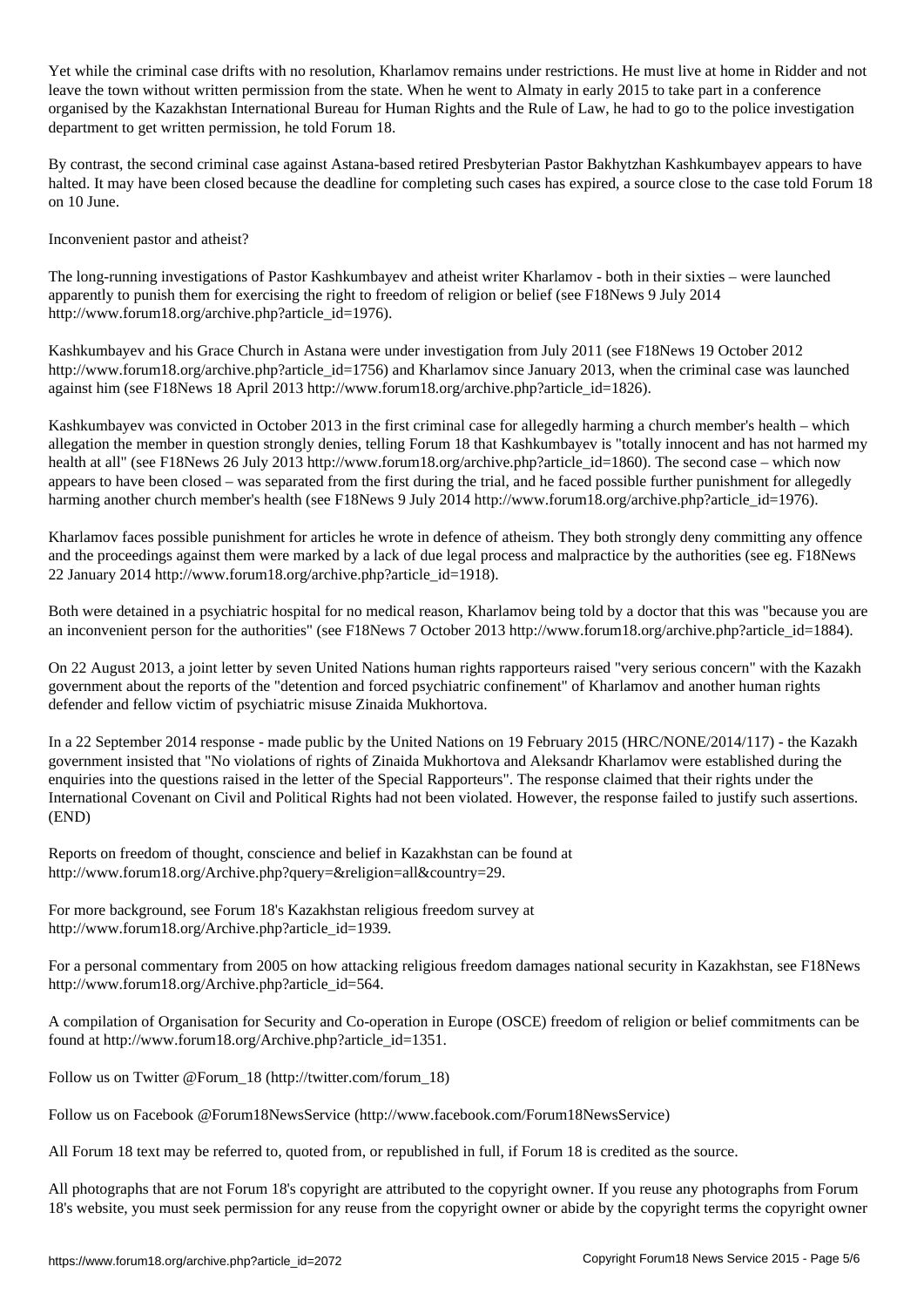leave the town without written permission from the state. When he went to Almaty in early 2015 to take part in a conference organised by the Kazakhstan International Bureau for Human Rights and the Rule of Law, he had to go to the police investigation department to get written permission, he told Forum 18.

 $\mathcal{N}_{\text{max}}$  and restriction, Kharlamov remains under remains under restrictions. He must live at home in Ridder and not

By contrast, the second criminal case against Astana-based retired Presbyterian Pastor Bakhytzhan Kashkumbayev appears to have halted. It may have been closed because the deadline for completing such cases has expired, a source close to the case told Forum 18 on 10 June.

Inconvenient pastor and atheist?

The long-running investigations of Pastor Kashkumbayev and atheist writer Kharlamov - both in their sixties – were launched apparently to punish them for exercising the right to freedom of religion or belief (see F18News 9 July 2014 http://www.forum18.org/archive.php?article\_id=1976).

Kashkumbayev and his Grace Church in Astana were under investigation from July 2011 (see F18News 19 October 2012 http://www.forum18.org/archive.php?article\_id=1756) and Kharlamov since January 2013, when the criminal case was launched against him (see F18News 18 April 2013 http://www.forum18.org/archive.php?article\_id=1826).

Kashkumbayev was convicted in October 2013 in the first criminal case for allegedly harming a church member's health – which allegation the member in question strongly denies, telling Forum 18 that Kashkumbayev is "totally innocent and has not harmed my health at all" (see F18News 26 July 2013 http://www.forum18.org/archive.php?article\_id=1860). The second case – which now appears to have been closed – was separated from the first during the trial, and he faced possible further punishment for allegedly harming another church member's health (see F18News 9 July 2014 http://www.forum18.org/archive.php?article\_id=1976).

Kharlamov faces possible punishment for articles he wrote in defence of atheism. They both strongly deny committing any offence and the proceedings against them were marked by a lack of due legal process and malpractice by the authorities (see eg. F18News 22 January 2014 http://www.forum18.org/archive.php?article\_id=1918).

Both were detained in a psychiatric hospital for no medical reason, Kharlamov being told by a doctor that this was "because you are an inconvenient person for the authorities" (see F18News 7 October 2013 http://www.forum18.org/archive.php?article\_id=1884).

On 22 August 2013, a joint letter by seven United Nations human rights rapporteurs raised "very serious concern" with the Kazakh government about the reports of the "detention and forced psychiatric confinement" of Kharlamov and another human rights defender and fellow victim of psychiatric misuse Zinaida Mukhortova.

In a 22 September 2014 response - made public by the United Nations on 19 February 2015 (HRC/NONE/2014/117) - the Kazakh government insisted that "No violations of rights of Zinaida Mukhortova and Aleksandr Kharlamov were established during the enquiries into the questions raised in the letter of the Special Rapporteurs". The response claimed that their rights under the International Covenant on Civil and Political Rights had not been violated. However, the response failed to justify such assertions. (END)

Reports on freedom of thought, conscience and belief in Kazakhstan can be found at http://www.forum18.org/Archive.php?query=&religion=all&country=29.

For more background, see Forum 18's Kazakhstan religious freedom survey at http://www.forum18.org/Archive.php?article\_id=1939.

For a personal commentary from 2005 on how attacking religious freedom damages national security in Kazakhstan, see F18News http://www.forum18.org/Archive.php?article\_id=564.

A compilation of Organisation for Security and Co-operation in Europe (OSCE) freedom of religion or belief commitments can be found at http://www.forum18.org/Archive.php?article\_id=1351.

Follow us on Twitter @Forum\_18 (http://twitter.com/forum\_18)

Follow us on Facebook @Forum18NewsService (http://www.facebook.com/Forum18NewsService)

All Forum 18 text may be referred to, quoted from, or republished in full, if Forum 18 is credited as the source.

All photographs that are not Forum 18's copyright are attributed to the copyright owner. If you reuse any photographs from Forum 18's website, you must seek permission for any reuse from the copyright owner or abide by the copyright terms the copyright owner